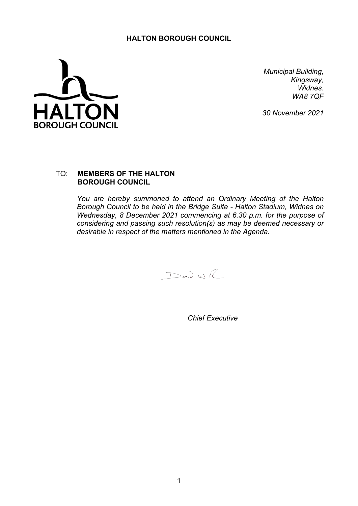## **HALTON BOROUGH COUNCIL**



*Municipal Building, Kingsway, Widnes. WA8 7QF*

*30 November 2021*

## TO: **MEMBERS OF THE HALTON BOROUGH COUNCIL**

*You are hereby summoned to attend an Ordinary Meeting of the Halton Borough Council to be held in the Bridge Suite - Halton Stadium, Widnes on Wednesday, 8 December 2021 commencing at 6.30 p.m. for the purpose of considering and passing such resolution(s) as may be deemed necessary or desirable in respect of the matters mentioned in the Agenda.*

 $D$ an) WR

*Chief Executive*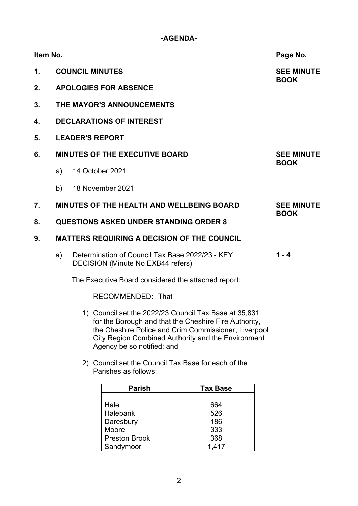## **-AGENDA-**

| $\mathbf 1$ .<br>2.<br>3. | <b>DECLARATIONS OF INTEREST</b>                                                                   | <b>COUNCIL MINUTES</b>           |                                                                                    |                                                                                                                                                                                                                              | <b>SEE MINUTE</b><br><b>BOOK</b> |  |  |  |  |
|---------------------------|---------------------------------------------------------------------------------------------------|----------------------------------|------------------------------------------------------------------------------------|------------------------------------------------------------------------------------------------------------------------------------------------------------------------------------------------------------------------------|----------------------------------|--|--|--|--|
|                           |                                                                                                   |                                  |                                                                                    |                                                                                                                                                                                                                              |                                  |  |  |  |  |
|                           |                                                                                                   |                                  |                                                                                    | <b>APOLOGIES FOR ABSENCE</b>                                                                                                                                                                                                 |                                  |  |  |  |  |
|                           |                                                                                                   | THE MAYOR'S ANNOUNCEMENTS        |                                                                                    |                                                                                                                                                                                                                              |                                  |  |  |  |  |
| 4.                        |                                                                                                   |                                  |                                                                                    |                                                                                                                                                                                                                              |                                  |  |  |  |  |
| 5.                        | <b>LEADER'S REPORT</b>                                                                            |                                  |                                                                                    |                                                                                                                                                                                                                              |                                  |  |  |  |  |
| 6.                        | <b>MINUTES OF THE EXECUTIVE BOARD</b>                                                             | <b>SEE MINUTE</b><br><b>BOOK</b> |                                                                                    |                                                                                                                                                                                                                              |                                  |  |  |  |  |
|                           | a)                                                                                                | 14 October 2021                  |                                                                                    |                                                                                                                                                                                                                              |                                  |  |  |  |  |
|                           |                                                                                                   | b) 18 November 2021              |                                                                                    |                                                                                                                                                                                                                              |                                  |  |  |  |  |
| $\overline{7}$ .          |                                                                                                   |                                  | <b>MINUTES OF THE HEALTH AND WELLBEING BOARD</b>                                   |                                                                                                                                                                                                                              | <b>SEE MINUTE</b>                |  |  |  |  |
| 8.                        | <b>QUESTIONS ASKED UNDER STANDING ORDER 8</b>                                                     | <b>BOOK</b>                      |                                                                                    |                                                                                                                                                                                                                              |                                  |  |  |  |  |
| 9.                        | <b>MATTERS REQUIRING A DECISION OF THE COUNCIL</b>                                                |                                  |                                                                                    |                                                                                                                                                                                                                              |                                  |  |  |  |  |
|                           | Determination of Council Tax Base 2022/23 - KEY<br>a)<br><b>DECISION (Minute No EXB44 refers)</b> |                                  |                                                                                    |                                                                                                                                                                                                                              | $1 - 4$                          |  |  |  |  |
|                           |                                                                                                   |                                  |                                                                                    |                                                                                                                                                                                                                              |                                  |  |  |  |  |
|                           |                                                                                                   | RECOMMENDED: That                |                                                                                    |                                                                                                                                                                                                                              |                                  |  |  |  |  |
|                           |                                                                                                   |                                  | Agency be so notified; and                                                         | 1) Council set the 2022/23 Council Tax Base at 35,831<br>for the Borough and that the Cheshire Fire Authority,<br>the Cheshire Police and Crim Commissioner, Liverpool<br>City Region Combined Authority and the Environment |                                  |  |  |  |  |
|                           |                                                                                                   |                                  |                                                                                    |                                                                                                                                                                                                                              |                                  |  |  |  |  |
|                           |                                                                                                   |                                  | <b>Parish</b>                                                                      | <b>Tax Base</b>                                                                                                                                                                                                              |                                  |  |  |  |  |
|                           |                                                                                                   |                                  | Hale<br><b>Halebank</b><br>Daresbury<br>Moore<br><b>Preston Brook</b><br>Sandymoor | 664<br>526<br>186<br>333<br>368<br>1,417                                                                                                                                                                                     |                                  |  |  |  |  |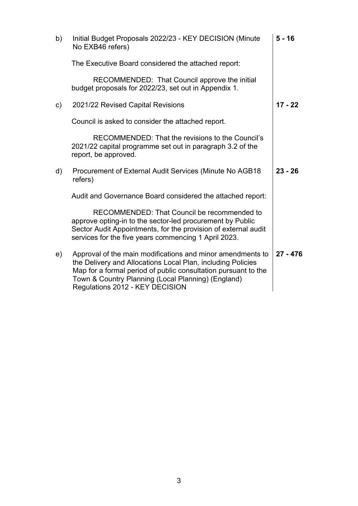| b)            | Initial Budget Proposals 2022/23 - KEY DECISION (Minute<br>No EXB46 refers)                                                                                                                                                                                                          | $5 - 16$   |
|---------------|--------------------------------------------------------------------------------------------------------------------------------------------------------------------------------------------------------------------------------------------------------------------------------------|------------|
|               | The Executive Board considered the attached report:                                                                                                                                                                                                                                  |            |
|               | RECOMMENDED: That Council approve the initial<br>budget proposals for 2022/23, set out in Appendix 1.                                                                                                                                                                                |            |
| $\mathsf{c})$ | 2021/22 Revised Capital Revisions                                                                                                                                                                                                                                                    | $17 - 22$  |
|               | Council is asked to consider the attached report.                                                                                                                                                                                                                                    |            |
|               | RECOMMENDED: That the revisions to the Council's<br>2021/22 capital programme set out in paragraph 3.2 of the<br>report, be approved.                                                                                                                                                |            |
| d)            | Procurement of External Audit Services (Minute No AGB18)<br>refers)                                                                                                                                                                                                                  | $23 - 26$  |
|               | Audit and Governance Board considered the attached report:                                                                                                                                                                                                                           |            |
|               | RECOMMENDED: That Council be recommended to<br>approve opting-in to the sector-led procurement by Public<br>Sector Audit Appointments, for the provision of external audit<br>services for the five years commencing 1 April 2023.                                                   |            |
| e)            | Approval of the main modifications and minor amendments to<br>the Delivery and Allocations Local Plan, including Policies<br>Map for a formal period of public consultation pursuant to the<br>Town & Country Planning (Local Planning) (England)<br>Regulations 2012 - KEY DECISION | $27 - 476$ |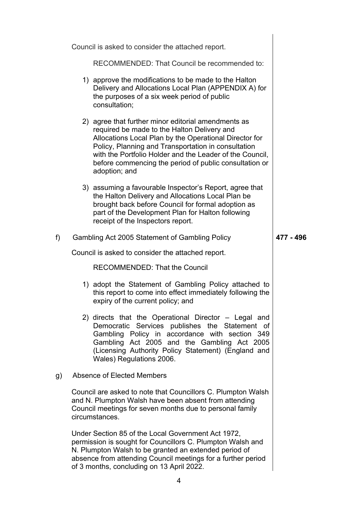|    | Council is asked to consider the attached report.                                                                                                                                                                                                                                                                                                          |           |
|----|------------------------------------------------------------------------------------------------------------------------------------------------------------------------------------------------------------------------------------------------------------------------------------------------------------------------------------------------------------|-----------|
|    | RECOMMENDED: That Council be recommended to:                                                                                                                                                                                                                                                                                                               |           |
|    | 1) approve the modifications to be made to the Halton<br>Delivery and Allocations Local Plan (APPENDIX A) for<br>the purposes of a six week period of public<br>consultation;                                                                                                                                                                              |           |
|    | 2) agree that further minor editorial amendments as<br>required be made to the Halton Delivery and<br>Allocations Local Plan by the Operational Director for<br>Policy, Planning and Transportation in consultation<br>with the Portfolio Holder and the Leader of the Council,<br>before commencing the period of public consultation or<br>adoption; and |           |
|    | 3) assuming a favourable Inspector's Report, agree that<br>the Halton Delivery and Allocations Local Plan be<br>brought back before Council for formal adoption as<br>part of the Development Plan for Halton following<br>receipt of the Inspectors report.                                                                                               |           |
| f) | Gambling Act 2005 Statement of Gambling Policy                                                                                                                                                                                                                                                                                                             | 477 - 496 |
|    | Council is asked to consider the attached report.                                                                                                                                                                                                                                                                                                          |           |
|    | <b>RECOMMENDED: That the Council</b>                                                                                                                                                                                                                                                                                                                       |           |
|    | 1) adopt the Statement of Gambling Policy attached to<br>this report to come into effect immediately following the<br>expiry of the current policy; and                                                                                                                                                                                                    |           |
|    | 2) directs that the Operational Director - Legal and<br>Democratic Services publishes the Statement of<br>Gambling Policy in accordance with section 349<br>Gambling Act 2005 and the Gambling Act 2005<br>(Licensing Authority Policy Statement) (England and<br>Wales) Regulations 2006.                                                                 |           |
| g) | Absence of Elected Members                                                                                                                                                                                                                                                                                                                                 |           |
|    | Council are asked to note that Councillors C. Plumpton Walsh<br>and N. Plumpton Walsh have been absent from attending<br>Council meetings for seven months due to personal family<br>circumstances.                                                                                                                                                        |           |
|    | Under Section 85 of the Local Government Act 1972,<br>permission is sought for Councillors C. Plumpton Walsh and<br>N. Plumpton Walsh to be granted an extended period of<br>absence from attending Council meetings for a further period<br>of 3 months, concluding on 13 April 2022.                                                                     |           |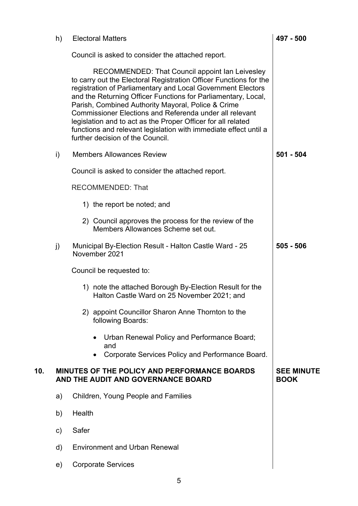|     | h)           | <b>Electoral Matters</b>                                                                                                                                                                                                                                                                                                                                                                                                                                                                                                                      | 497 - 500                        |
|-----|--------------|-----------------------------------------------------------------------------------------------------------------------------------------------------------------------------------------------------------------------------------------------------------------------------------------------------------------------------------------------------------------------------------------------------------------------------------------------------------------------------------------------------------------------------------------------|----------------------------------|
|     |              | Council is asked to consider the attached report.                                                                                                                                                                                                                                                                                                                                                                                                                                                                                             |                                  |
|     |              | RECOMMENDED: That Council appoint Ian Leivesley<br>to carry out the Electoral Registration Officer Functions for the<br>registration of Parliamentary and Local Government Electors<br>and the Returning Officer Functions for Parliamentary, Local,<br>Parish, Combined Authority Mayoral, Police & Crime<br>Commissioner Elections and Referenda under all relevant<br>legislation and to act as the Proper Officer for all related<br>functions and relevant legislation with immediate effect until a<br>further decision of the Council. |                                  |
|     | i)           | <b>Members Allowances Review</b>                                                                                                                                                                                                                                                                                                                                                                                                                                                                                                              | $501 - 504$                      |
|     |              | Council is asked to consider the attached report.                                                                                                                                                                                                                                                                                                                                                                                                                                                                                             |                                  |
|     |              | <b>RECOMMENDED: That</b>                                                                                                                                                                                                                                                                                                                                                                                                                                                                                                                      |                                  |
|     |              | 1) the report be noted; and                                                                                                                                                                                                                                                                                                                                                                                                                                                                                                                   |                                  |
|     |              | 2) Council approves the process for the review of the<br>Members Allowances Scheme set out.                                                                                                                                                                                                                                                                                                                                                                                                                                                   |                                  |
|     | j)           | Municipal By-Election Result - Halton Castle Ward - 25<br>November 2021                                                                                                                                                                                                                                                                                                                                                                                                                                                                       | $505 - 506$                      |
|     |              | Council be requested to:                                                                                                                                                                                                                                                                                                                                                                                                                                                                                                                      |                                  |
|     |              | 1) note the attached Borough By-Election Result for the<br>Halton Castle Ward on 25 November 2021; and                                                                                                                                                                                                                                                                                                                                                                                                                                        |                                  |
|     |              | 2) appoint Councillor Sharon Anne Thornton to the<br>following Boards:                                                                                                                                                                                                                                                                                                                                                                                                                                                                        |                                  |
|     |              | Urban Renewal Policy and Performance Board;<br>and                                                                                                                                                                                                                                                                                                                                                                                                                                                                                            |                                  |
|     |              | Corporate Services Policy and Performance Board.                                                                                                                                                                                                                                                                                                                                                                                                                                                                                              |                                  |
| 10. |              | <b>MINUTES OF THE POLICY AND PERFORMANCE BOARDS</b><br>AND THE AUDIT AND GOVERNANCE BOARD                                                                                                                                                                                                                                                                                                                                                                                                                                                     | <b>SEE MINUTE</b><br><b>BOOK</b> |
|     | a)           | Children, Young People and Families                                                                                                                                                                                                                                                                                                                                                                                                                                                                                                           |                                  |
|     | b)           | Health                                                                                                                                                                                                                                                                                                                                                                                                                                                                                                                                        |                                  |
|     | $\mathsf{C}$ | Safer                                                                                                                                                                                                                                                                                                                                                                                                                                                                                                                                         |                                  |
|     | d)           | <b>Environment and Urban Renewal</b>                                                                                                                                                                                                                                                                                                                                                                                                                                                                                                          |                                  |
|     | e)           | <b>Corporate Services</b>                                                                                                                                                                                                                                                                                                                                                                                                                                                                                                                     |                                  |
|     |              |                                                                                                                                                                                                                                                                                                                                                                                                                                                                                                                                               |                                  |